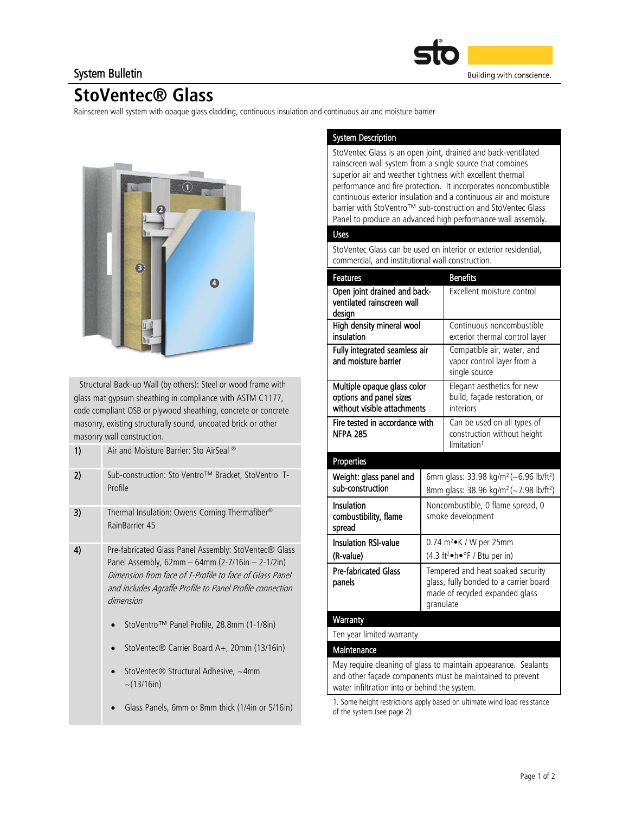### System Bulletin



## StoVentec® Glass

Rainscreen wall system with opaque glass cladding, continuous insulation and continuous air and moisture barrier



 Structural Back-up Wall (by others): Steel or wood frame with glass mat gypsum sheathing in compliance with ASTM C1177, code compliant OSB or plywood sheathing, concrete or concrete masonry, existing structurally sound, uncoated brick or other masonry wall construction.

| 1) | Air and Moisture Barrier: Sto AirSeal ®                                                                                                                                                                                                         |  |  |
|----|-------------------------------------------------------------------------------------------------------------------------------------------------------------------------------------------------------------------------------------------------|--|--|
| 2) | Sub-construction: Sto Ventro™ Bracket, StoVentro T-<br>Profile                                                                                                                                                                                  |  |  |
| 3) | Thermal Insulation: Owens Corning Thermafiber <sup>®</sup><br>RainBarrier 45                                                                                                                                                                    |  |  |
| 4) | Pre-fabricated Glass Panel Assembly: StoVentec® Glass<br>Panel Assembly, $62mm - 64mm (2-7/16in - 2-1/2in)$<br>Dimension from face of T-Profile to face of Glass Panel<br>and includes Agraffe Profile to Panel Profile connection<br>dimension |  |  |
|    | StoVentro™ Panel Profile, 28.8mm (1-1/8in)                                                                                                                                                                                                      |  |  |
|    | StoVentec <sup>®</sup> Carrier Board A+, 20mm (13/16in)                                                                                                                                                                                         |  |  |
|    | StoVentec® Structural Adhesive, ~4mm<br>$\sim$ (13/16in)                                                                                                                                                                                        |  |  |
|    | Glass Panels, 6mm or 8mm thick (1/4in or 5/16in)                                                                                                                                                                                                |  |  |

#### System Description

StoVentec Glass is an open joint, drained and back-ventilated rainscreen wall system from a single source that combines superior air and weather tightness with excellent thermal performance and fire protection. It incorporates noncombustible continuous exterior insulation and a continuous air and moisture barrier with StoVentro™ sub-construction and StoVentec Glass Panel to produce an advanced high performance wall assembly.

#### Uses

StoVentec Glass can be used on interior or exterior residential, commercial, and institutional wall construction.

| <b>Features</b>                                                                                                             |                                                                                                                             | <b>Benefits</b>                                                                                                                  |  |  |
|-----------------------------------------------------------------------------------------------------------------------------|-----------------------------------------------------------------------------------------------------------------------------|----------------------------------------------------------------------------------------------------------------------------------|--|--|
| Open joint drained and back-<br>ventilated rainscreen wall<br>design                                                        |                                                                                                                             | Excellent moisture control                                                                                                       |  |  |
| High density mineral wool<br>insulation                                                                                     |                                                                                                                             | Continuous noncombustible<br>exterior thermal control layer                                                                      |  |  |
| Fully integrated seamless air<br>and moisture barrier                                                                       |                                                                                                                             | Compatible air, water, and<br>vapor control layer from a<br>single source                                                        |  |  |
| Multiple opaque glass color<br>options and panel sizes<br>without visible attachments                                       |                                                                                                                             | Elegant aesthetics for new<br>build, façade restoration, or<br>interiors                                                         |  |  |
| Fire tested in accordance with<br><b>NFPA 285</b>                                                                           |                                                                                                                             | Can be used on all types of<br>construction without height<br>limitation <sup>1</sup>                                            |  |  |
| Properties                                                                                                                  |                                                                                                                             |                                                                                                                                  |  |  |
| Weight: glass panel and<br>sub-construction                                                                                 |                                                                                                                             | 6mm glass: 33.98 kg/m <sup>2</sup> (~6.96 lb/ft <sup>2</sup> )<br>8mm glass: 38.96 kg/m <sup>2</sup> (~7.98 lb/ft <sup>2</sup> ) |  |  |
| Insulation<br>combustibility, flame<br>spread                                                                               | Noncombustible, 0 flame spread, 0<br>smoke development                                                                      |                                                                                                                                  |  |  |
| Insulation RSI-value                                                                                                        |                                                                                                                             | 0.74 $m^2$ K / W per 25mm                                                                                                        |  |  |
| (R-value)                                                                                                                   |                                                                                                                             | (4.3 ft <sup>2</sup> •h•°F / Btu per in)                                                                                         |  |  |
| <b>Pre-fabricated Glass</b><br>panels                                                                                       | Tempered and heat soaked security<br>glass, fully bonded to a carrier board<br>made of recycled expanded glass<br>granulate |                                                                                                                                  |  |  |
| Warranty                                                                                                                    |                                                                                                                             |                                                                                                                                  |  |  |
| Ten year limited warranty                                                                                                   |                                                                                                                             |                                                                                                                                  |  |  |
| Maintenance                                                                                                                 |                                                                                                                             |                                                                                                                                  |  |  |
| May require cleaning of glass to maintain appearance. Sealants<br>and other facade components must be maintained to prevent |                                                                                                                             |                                                                                                                                  |  |  |

and other façade components must be maintained to prevent water infiltration into or behind the system.

1. Some height restrictions apply based on ultimate wind load resistance of the system (see page 2)